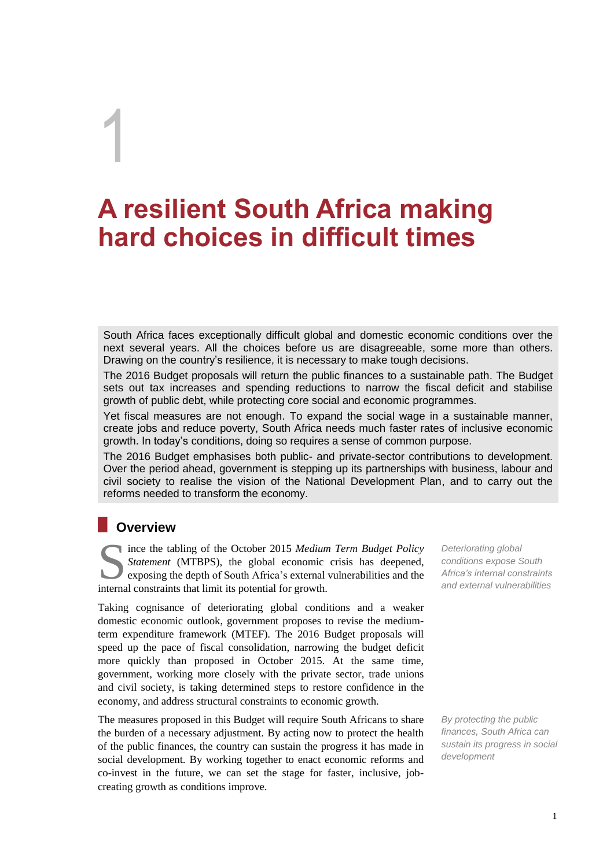# **A resilient South Africa making hard choices in difficult times**

South Africa faces exceptionally difficult global and domestic economic conditions over the next several years. All the choices before us are disagreeable, some more than others. Drawing on the country's resilience, it is necessary to make tough decisions.

The 2016 Budget proposals will return the public finances to a sustainable path. The Budget sets out tax increases and spending reductions to narrow the fiscal deficit and stabilise growth of public debt, while protecting core social and economic programmes.

Yet fiscal measures are not enough. To expand the social wage in a sustainable manner, create jobs and reduce poverty, South Africa needs much faster rates of inclusive economic growth. In today's conditions, doing so requires a sense of common purpose.

The 2016 Budget emphasises both public- and private-sector contributions to development. Over the period ahead, government is stepping up its partnerships with business, labour and civil society to realise the vision of the National Development Plan, and to carry out the reforms needed to transform the economy.

## **Overview**

1

ince the tabling of the October 2015 *Medium Term Budget Policy Statement* (MTBPS), the global economic crisis has deepened, exposing the depth of South Africa's external vulnerabilities and the ince the tabling of the October 2015 Medium<br>
Statement (MTBPS), the global economic<br>
exposing the depth of South Africa's external<br>
internal constraints that limit its potential for growth.

Taking cognisance of deteriorating global conditions and a weaker domestic economic outlook, government proposes to revise the mediumterm expenditure framework (MTEF). The 2016 Budget proposals will speed up the pace of fiscal consolidation, narrowing the budget deficit more quickly than proposed in October 2015. At the same time, government, working more closely with the private sector, trade unions and civil society, is taking determined steps to restore confidence in the economy, and address structural constraints to economic growth.

The measures proposed in this Budget will require South Africans to share the burden of a necessary adjustment. By acting now to protect the health of the public finances, the country can sustain the progress it has made in social development. By working together to enact economic reforms and co-invest in the future, we can set the stage for faster, inclusive, jobcreating growth as conditions improve.

*Deteriorating global conditions expose South Africa's internal constraints and external vulnerabilities*

*By protecting the public finances, South Africa can sustain its progress in social development*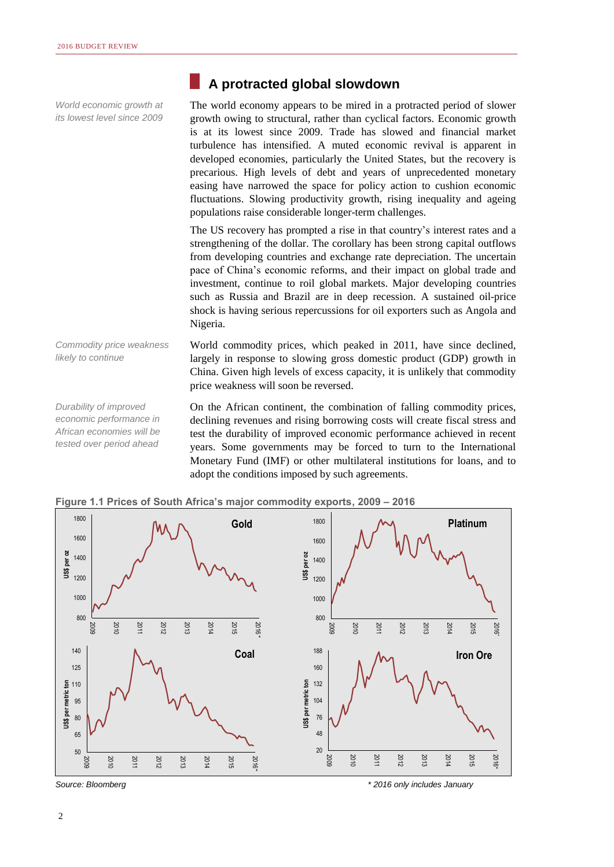*World economic growth at its lowest level since 2009*

### **A protracted global slowdown**

The world economy appears to be mired in a protracted period of slower growth owing to structural, rather than cyclical factors. Economic growth is at its lowest since 2009. Trade has slowed and financial market turbulence has intensified. A muted economic revival is apparent in developed economies, particularly the United States, but the recovery is precarious. High levels of debt and years of unprecedented monetary easing have narrowed the space for policy action to cushion economic fluctuations. Slowing productivity growth, rising inequality and ageing populations raise considerable longer-term challenges.

The US recovery has prompted a rise in that country's interest rates and a strengthening of the dollar. The corollary has been strong capital outflows from developing countries and exchange rate depreciation. The uncertain pace of China's economic reforms, and their impact on global trade and investment, continue to roil global markets. Major developing countries such as Russia and Brazil are in deep recession. A sustained oil-price shock is having serious repercussions for oil exporters such as Angola and Nigeria.

*Commodity price weakness likely to continue*

World commodity prices, which peaked in 2011, have since declined, largely in response to slowing gross domestic product (GDP) growth in China. Given high levels of excess capacity, it is unlikely that commodity price weakness will soon be reversed.

*Durability of improved economic performance in African economies will be tested over period ahead*

On the African continent, the combination of falling commodity prices, declining revenues and rising borrowing costs will create fiscal stress and test the durability of improved economic performance achieved in recent years. Some governments may be forced to turn to the International Monetary Fund (IMF) or other multilateral institutions for loans, and to adopt the conditions imposed by such agreements.



**Figure 1.1 Prices of South Africa's major commodity exports, 2009 – 2016** 

*Source: Bloomberg \* 2016 only includes January*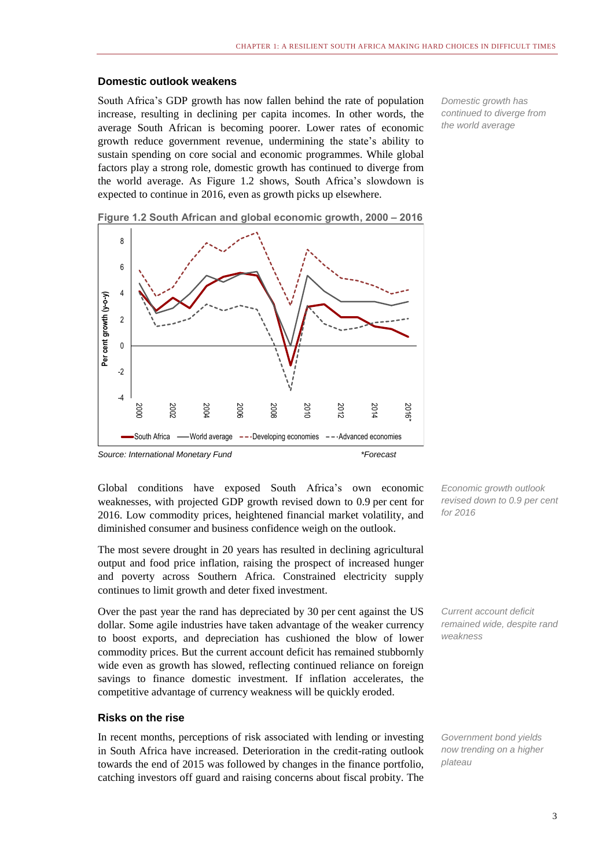### **Domestic outlook weakens**

South Africa's GDP growth has now fallen behind the rate of population increase, resulting in declining per capita incomes. In other words, the average South African is becoming poorer. Lower rates of economic growth reduce government revenue, undermining the state's ability to sustain spending on core social and economic programmes. While global factors play a strong role, domestic growth has continued to diverge from the world average. As Figure 1.2 shows, South Africa's slowdown is expected to continue in 2016, even as growth picks up elsewhere.



**Figure 1.2 South African and global economic growth, 2000 – 2016**

*Source: International Monetary Fund \*Forecast*

Global conditions have exposed South Africa's own economic weaknesses, with projected GDP growth revised down to 0.9 per cent for 2016. Low commodity prices, heightened financial market volatility, and diminished consumer and business confidence weigh on the outlook.

The most severe drought in 20 years has resulted in declining agricultural output and food price inflation, raising the prospect of increased hunger and poverty across Southern Africa. Constrained electricity supply continues to limit growth and deter fixed investment.

Over the past year the rand has depreciated by 30 per cent against the US dollar. Some agile industries have taken advantage of the weaker currency to boost exports, and depreciation has cushioned the blow of lower commodity prices. But the current account deficit has remained stubbornly wide even as growth has slowed, reflecting continued reliance on foreign savings to finance domestic investment. If inflation accelerates, the competitive advantage of currency weakness will be quickly eroded.

### **Risks on the rise**

In recent months, perceptions of risk associated with lending or investing in South Africa have increased. Deterioration in the credit-rating outlook towards the end of 2015 was followed by changes in the finance portfolio, catching investors off guard and raising concerns about fiscal probity. The

*Economic growth outlook revised down to 0.9 per cent for 2016*

*Domestic growth has continued to diverge from the world average*

*Current account deficit remained wide, despite rand weakness*

*Government bond yields now trending on a higher plateau*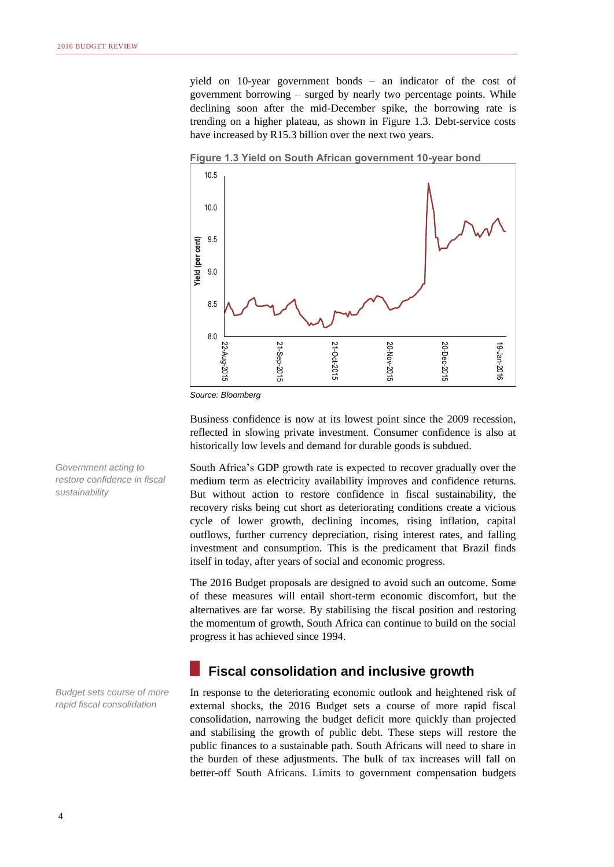yield on 10-year government bonds – an indicator of the cost of government borrowing – surged by nearly two percentage points. While declining soon after the mid-December spike, the borrowing rate is trending on a higher plateau, as shown in Figure 1.3. Debt-service costs have increased by R15.3 billion over the next two years.



**Figure 1.3 Yield on South African government 10-year bond**

*Source: Bloomberg*

Business confidence is now at its lowest point since the 2009 recession, reflected in slowing private investment. Consumer confidence is also at historically low levels and demand for durable goods is subdued.

South Africa's GDP growth rate is expected to recover gradually over the medium term as electricity availability improves and confidence returns. But without action to restore confidence in fiscal sustainability, the recovery risks being cut short as deteriorating conditions create a vicious cycle of lower growth, declining incomes, rising inflation, capital outflows, further currency depreciation, rising interest rates, and falling investment and consumption. This is the predicament that Brazil finds itself in today, after years of social and economic progress.

The 2016 Budget proposals are designed to avoid such an outcome. Some of these measures will entail short-term economic discomfort, but the alternatives are far worse. By stabilising the fiscal position and restoring the momentum of growth, South Africa can continue to build on the social progress it has achieved since 1994.

### **Fiscal consolidation and inclusive growth**

In response to the deteriorating economic outlook and heightened risk of external shocks, the 2016 Budget sets a course of more rapid fiscal consolidation, narrowing the budget deficit more quickly than projected and stabilising the growth of public debt. These steps will restore the public finances to a sustainable path. South Africans will need to share in the burden of these adjustments. The bulk of tax increases will fall on better-off South Africans. Limits to government compensation budgets

*Government acting to restore confidence in fiscal sustainability*

*Budget sets course of more rapid fiscal consolidation*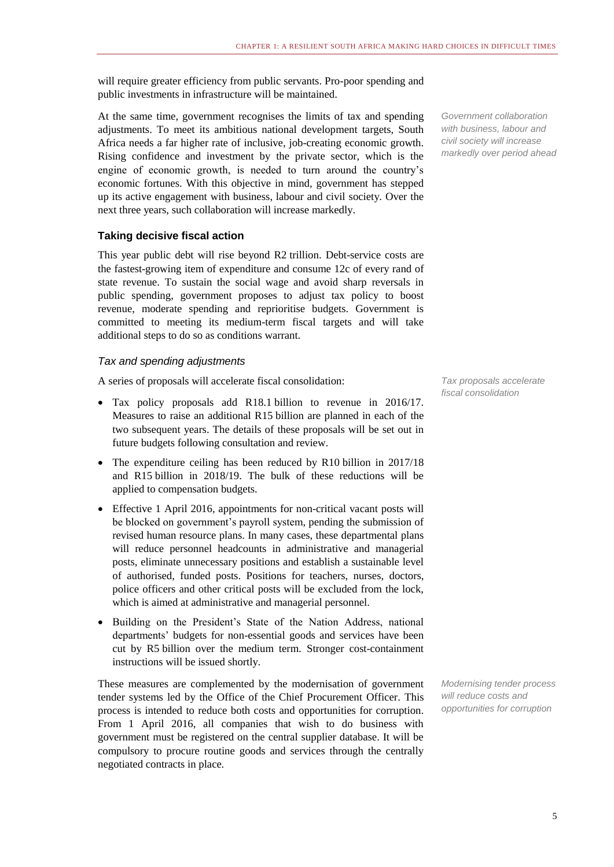will require greater efficiency from public servants. Pro-poor spending and public investments in infrastructure will be maintained.

At the same time, government recognises the limits of tax and spending adjustments. To meet its ambitious national development targets, South Africa needs a far higher rate of inclusive, job-creating economic growth. Rising confidence and investment by the private sector, which is the engine of economic growth, is needed to turn around the country's economic fortunes. With this objective in mind, government has stepped up its active engagement with business, labour and civil society. Over the next three years, such collaboration will increase markedly.

### **Taking decisive fiscal action**

This year public debt will rise beyond R2 trillion. Debt-service costs are the fastest-growing item of expenditure and consume 12c of every rand of state revenue. To sustain the social wage and avoid sharp reversals in public spending, government proposes to adjust tax policy to boost revenue, moderate spending and reprioritise budgets. Government is committed to meeting its medium-term fiscal targets and will take additional steps to do so as conditions warrant.

### *Tax and spending adjustments*

A series of proposals will accelerate fiscal consolidation:

- Tax policy proposals add R18.1 billion to revenue in 2016/17. Measures to raise an additional R15 billion are planned in each of the two subsequent years. The details of these proposals will be set out in future budgets following consultation and review.
- The expenditure ceiling has been reduced by R10 billion in 2017/18 and R15 billion in 2018/19. The bulk of these reductions will be applied to compensation budgets.
- Effective 1 April 2016, appointments for non-critical vacant posts will be blocked on government's payroll system, pending the submission of revised human resource plans. In many cases, these departmental plans will reduce personnel headcounts in administrative and managerial posts, eliminate unnecessary positions and establish a sustainable level of authorised, funded posts. Positions for teachers, nurses, doctors, police officers and other critical posts will be excluded from the lock, which is aimed at administrative and managerial personnel.
- Building on the President's State of the Nation Address, national departments' budgets for non-essential goods and services have been cut by R5 billion over the medium term. Stronger cost-containment instructions will be issued shortly.

These measures are complemented by the modernisation of government tender systems led by the Office of the Chief Procurement Officer. This process is intended to reduce both costs and opportunities for corruption. From 1 April 2016, all companies that wish to do business with government must be registered on the central supplier database. It will be compulsory to procure routine goods and services through the centrally negotiated contracts in place.

*Government collaboration with business, labour and civil society will increase markedly over period ahead*

*Tax proposals accelerate fiscal consolidation*

*Modernising tender process will reduce costs and opportunities for corruption*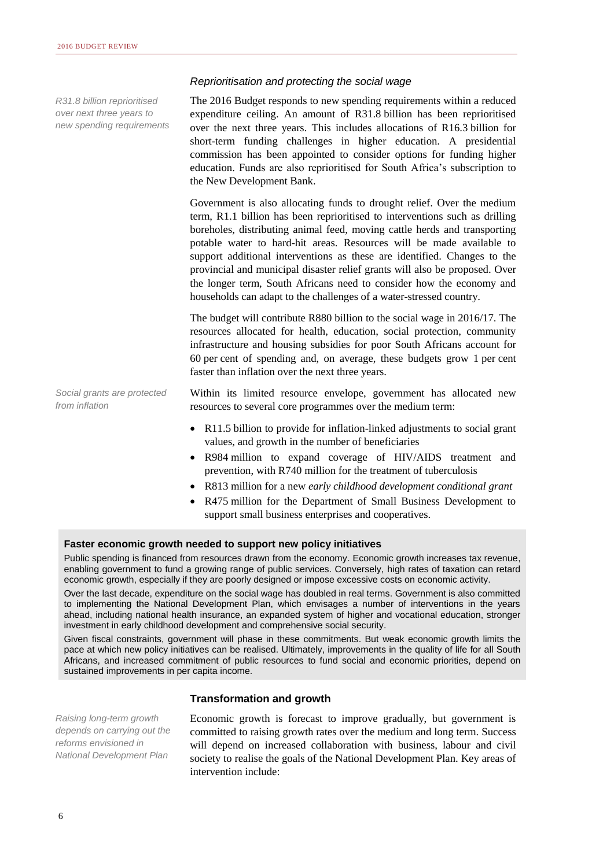*R31.8 billion reprioritised over next three years to new spending requirements*

### *Reprioritisation and protecting the social wage*

The 2016 Budget responds to new spending requirements within a reduced expenditure ceiling. An amount of R31.8 billion has been reprioritised over the next three years. This includes allocations of R16.3 billion for short-term funding challenges in higher education. A presidential commission has been appointed to consider options for funding higher education. Funds are also reprioritised for South Africa's subscription to the New Development Bank.

Government is also allocating funds to drought relief. Over the medium term, R1.1 billion has been reprioritised to interventions such as drilling boreholes, distributing animal feed, moving cattle herds and transporting potable water to hard-hit areas. Resources will be made available to support additional interventions as these are identified. Changes to the provincial and municipal disaster relief grants will also be proposed. Over the longer term, South Africans need to consider how the economy and households can adapt to the challenges of a water-stressed country.

The budget will contribute R880 billion to the social wage in 2016/17. The resources allocated for health, education, social protection, community infrastructure and housing subsidies for poor South Africans account for 60 per cent of spending and, on average, these budgets grow 1 per cent faster than inflation over the next three years.

*Social grants are protected from inflation*

Within its limited resource envelope, government has allocated new resources to several core programmes over the medium term:

- R11.5 billion to provide for inflation-linked adjustments to social grant values, and growth in the number of beneficiaries
- R984 million to expand coverage of HIV/AIDS treatment and prevention, with R740 million for the treatment of tuberculosis
- R813 million for a new *early childhood development conditional grant*
- R475 million for the Department of Small Business Development to support small business enterprises and cooperatives.

#### **Faster economic growth needed to support new policy initiatives**

Public spending is financed from resources drawn from the economy. Economic growth increases tax revenue, enabling government to fund a growing range of public services. Conversely, high rates of taxation can retard economic growth, especially if they are poorly designed or impose excessive costs on economic activity.

Over the last decade, expenditure on the social wage has doubled in real terms. Government is also committed to implementing the National Development Plan, which envisages a number of interventions in the years ahead, including national health insurance, an expanded system of higher and vocational education, stronger investment in early childhood development and comprehensive social security.

Given fiscal constraints, government will phase in these commitments. But weak economic growth limits the pace at which new policy initiatives can be realised. Ultimately, improvements in the quality of life for all South Africans, and increased commitment of public resources to fund social and economic priorities, depend on sustained improvements in per capita income.

### **Transformation and growth**

*Raising long-term growth depends on carrying out the reforms envisioned in National Development Plan*

Economic growth is forecast to improve gradually, but government is committed to raising growth rates over the medium and long term. Success will depend on increased collaboration with business, labour and civil society to realise the goals of the National Development Plan. Key areas of intervention include: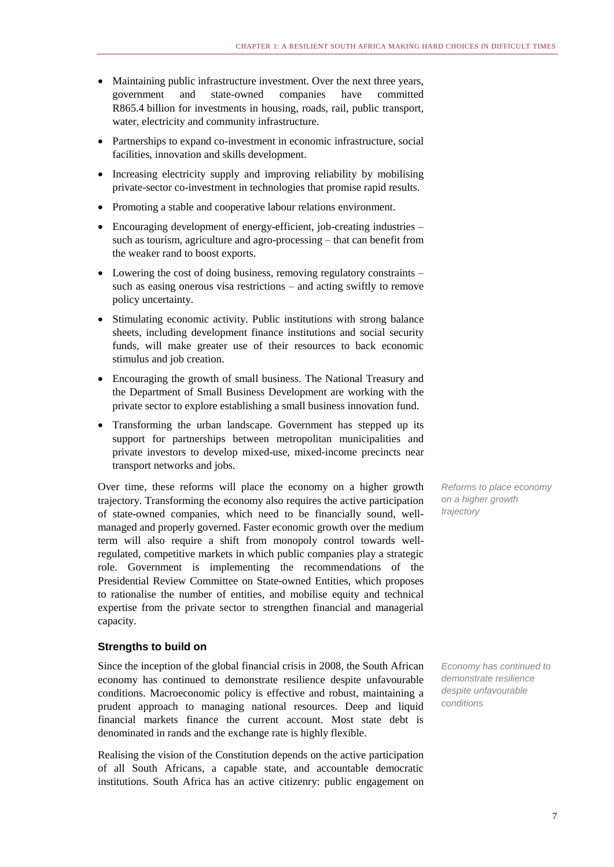- Maintaining public infrastructure investment. Over the next three years, government and state-owned companies have committed R865.4 billion for investments in housing, roads, rail, public transport, water, electricity and community infrastructure.
- Partnerships to expand co-investment in economic infrastructure, social facilities, innovation and skills development.
- Increasing electricity supply and improving reliability by mobilising private-sector co-investment in technologies that promise rapid results.
- Promoting a stable and cooperative labour relations environment.
- Encouraging development of energy-efficient, job-creating industries such as tourism, agriculture and agro-processing – that can benefit from the weaker rand to boost exports.
- Lowering the cost of doing business, removing regulatory constraints such as easing onerous visa restrictions – and acting swiftly to remove policy uncertainty.
- Stimulating economic activity. Public institutions with strong balance sheets, including development finance institutions and social security funds, will make greater use of their resources to back economic stimulus and job creation.
- Encouraging the growth of small business. The National Treasury and the Department of Small Business Development are working with the private sector to explore establishing a small business innovation fund.
- Transforming the urban landscape. Government has stepped up its support for partnerships between metropolitan municipalities and private investors to develop mixed-use, mixed-income precincts near transport networks and jobs.

Over time, these reforms will place the economy on a higher growth trajectory. Transforming the economy also requires the active participation of state-owned companies, which need to be financially sound, wellmanaged and properly governed. Faster economic growth over the medium term will also require a shift from monopoly control towards wellregulated, competitive markets in which public companies play a strategic role. Government is implementing the recommendations of the Presidential Review Committee on State-owned Entities, which proposes to rationalise the number of entities, and mobilise equity and technical expertise from the private sector to strengthen financial and managerial capacity.

### **Strengths to build on**

Since the inception of the global financial crisis in 2008, the South African economy has continued to demonstrate resilience despite unfavourable conditions. Macroeconomic policy is effective and robust, maintaining a prudent approach to managing national resources. Deep and liquid financial markets finance the current account. Most state debt is denominated in rands and the exchange rate is highly flexible.

Realising the vision of the Constitution depends on the active participation of all South Africans, a capable state, and accountable democratic institutions. South Africa has an active citizenry: public engagement on *Reforms to place economy on a higher growth trajectory*

*Economy has continued to demonstrate resilience despite unfavourable conditions*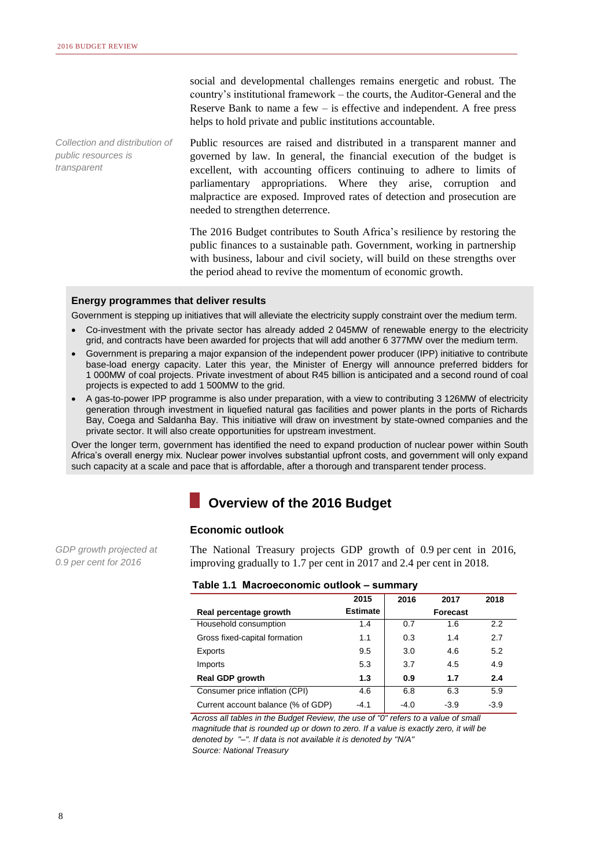*Collection and distribution of public resources is transparent*

social and developmental challenges remains energetic and robust. The country's institutional framework – the courts, the Auditor-General and the Reserve Bank to name a few  $-$  is effective and independent. A free press helps to hold private and public institutions accountable.

Public resources are raised and distributed in a transparent manner and governed by law. In general, the financial execution of the budget is excellent, with accounting officers continuing to adhere to limits of parliamentary appropriations. Where they arise, corruption and malpractice are exposed. Improved rates of detection and prosecution are needed to strengthen deterrence.

The 2016 Budget contributes to South Africa's resilience by restoring the public finances to a sustainable path. Government, working in partnership with business, labour and civil society, will build on these strengths over the period ahead to revive the momentum of economic growth.

### **Energy programmes that deliver results**

Government is stepping up initiatives that will alleviate the electricity supply constraint over the medium term.

- Co-investment with the private sector has already added 2 045MW of renewable energy to the electricity grid, and contracts have been awarded for projects that will add another 6 377MW over the medium term.
- Government is preparing a major expansion of the independent power producer (IPP) initiative to contribute base-load energy capacity. Later this year, the Minister of Energy will announce preferred bidders for 1 000MW of coal projects. Private investment of about R45 billion is anticipated and a second round of coal projects is expected to add 1 500MW to the grid.
- A gas-to-power IPP programme is also under preparation, with a view to contributing 3 126MW of electricity generation through investment in liquefied natural gas facilities and power plants in the ports of Richards Bay, Coega and Saldanha Bay. This initiative will draw on investment by state-owned companies and the private sector. It will also create opportunities for upstream investment.

Over the longer term, government has identified the need to expand production of nuclear power within South Africa's overall energy mix. Nuclear power involves substantial upfront costs, and government will only expand such capacity at a scale and pace that is affordable, after a thorough and transparent tender process.

# **Overview of the 2016 Budget**

#### **Economic outlook**

*GDP growth projected at 0.9 per cent for 2016*

The National Treasury projects GDP growth of 0.9 per cent in 2016, improving gradually to 1.7 per cent in 2017 and 2.4 per cent in 2018.

|  |  | Table 1.1 Macroeconomic outlook - summary |  |
|--|--|-------------------------------------------|--|
|--|--|-------------------------------------------|--|

|                                    | 2015            | 2016   | 2017     | 2018   |
|------------------------------------|-----------------|--------|----------|--------|
| Real percentage growth             | <b>Estimate</b> |        | Forecast |        |
| Household consumption              | 1.4             | 0.7    | 1.6      | 2.2    |
| Gross fixed-capital formation      | 1.1             | 0.3    | 1.4      | 2.7    |
| Exports                            | 9.5             | 3.0    | 4.6      | 5.2    |
| Imports                            | 5.3             | 3.7    | 4.5      | 4.9    |
| <b>Real GDP growth</b>             | 1.3             | 0.9    | 1.7      | 2.4    |
| Consumer price inflation (CPI)     | 4.6             | 6.8    | 6.3      | 5.9    |
| Current account balance (% of GDP) | $-4.1$          | $-4.0$ | $-3.9$   | $-3.9$ |

*Across all tables in the Budget Review, the use of "0" refers to a value of small magnitude that is rounded up or down to zero. If a value is exactly zero, it will be denoted by "–". If data is not available it is denoted by "N/A" Source: National Treasury*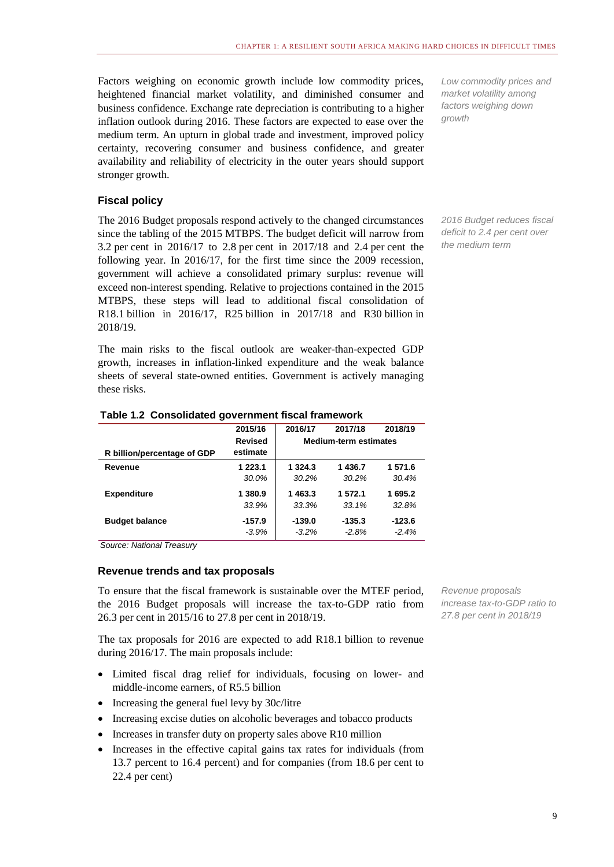Factors weighing on economic growth include low commodity prices, heightened financial market volatility, and diminished consumer and business confidence. Exchange rate depreciation is contributing to a higher inflation outlook during 2016. These factors are expected to ease over the medium term. An upturn in global trade and investment, improved policy certainty, recovering consumer and business confidence, and greater availability and reliability of electricity in the outer years should support stronger growth.

### **Fiscal policy**

The 2016 Budget proposals respond actively to the changed circumstances since the tabling of the 2015 MTBPS. The budget deficit will narrow from 3.2 per cent in 2016/17 to 2.8 per cent in 2017/18 and 2.4 per cent the following year. In 2016/17, for the first time since the 2009 recession, government will achieve a consolidated primary surplus: revenue will exceed non-interest spending. Relative to projections contained in the 2015 MTBPS, these steps will lead to additional fiscal consolidation of R18.1 billion in 2016/17, R25 billion in 2017/18 and R30 billion in 2018/19.

The main risks to the fiscal outlook are weaker-than-expected GDP growth, increases in inflation-linked expenditure and the weak balance sheets of several state-owned entities. Government is actively managing these risks.

|                             | 2015/16        | 2016/17                      | 2017/18  | 2018/19  |
|-----------------------------|----------------|------------------------------|----------|----------|
|                             | <b>Revised</b> | <b>Medium-term estimates</b> |          |          |
| R billion/percentage of GDP | estimate       |                              |          |          |
| Revenue                     | 1 2 2 3 1      | 1 3 2 4 . 3                  | 1436.7   | 1 571.6  |
|                             | 30.0%          | 30.2%                        | 30.2%    | 30.4%    |
| <b>Expenditure</b>          | 1 380.9        | 1463.3                       | 1 572.1  | 1695.2   |
|                             | 33.9%          | 33.3%                        | 33.1%    | 32.8%    |
| <b>Budget balance</b>       | $-157.9$       | $-139.0$                     | $-135.3$ | $-123.6$ |
|                             | $-3.9%$        | $-3.2\%$                     | $-2.8%$  | $-2.4%$  |

### **Table 1.2 Consolidated government fiscal framework**

*Source: National Treasury*

### **Revenue trends and tax proposals**

To ensure that the fiscal framework is sustainable over the MTEF period, the 2016 Budget proposals will increase the tax-to-GDP ratio from 26.3 per cent in 2015/16 to 27.8 per cent in 2018/19.

The tax proposals for 2016 are expected to add R18.1 billion to revenue during 2016/17. The main proposals include:

- Limited fiscal drag relief for individuals, focusing on lower- and middle-income earners, of R5.5 billion
- Increasing the general fuel levy by 30c/litre
- Increasing excise duties on alcoholic beverages and tobacco products
- Increases in transfer duty on property sales above R10 million
- Increases in the effective capital gains tax rates for individuals (from 13.7 percent to 16.4 percent) and for companies (from 18.6 per cent to 22.4 per cent)

*Revenue proposals increase tax-to-GDP ratio to 27.8 per cent in 2018/19*

*Low commodity prices and market volatility among factors weighing down growth*

*2016 Budget reduces fiscal deficit to 2.4 per cent over the medium term*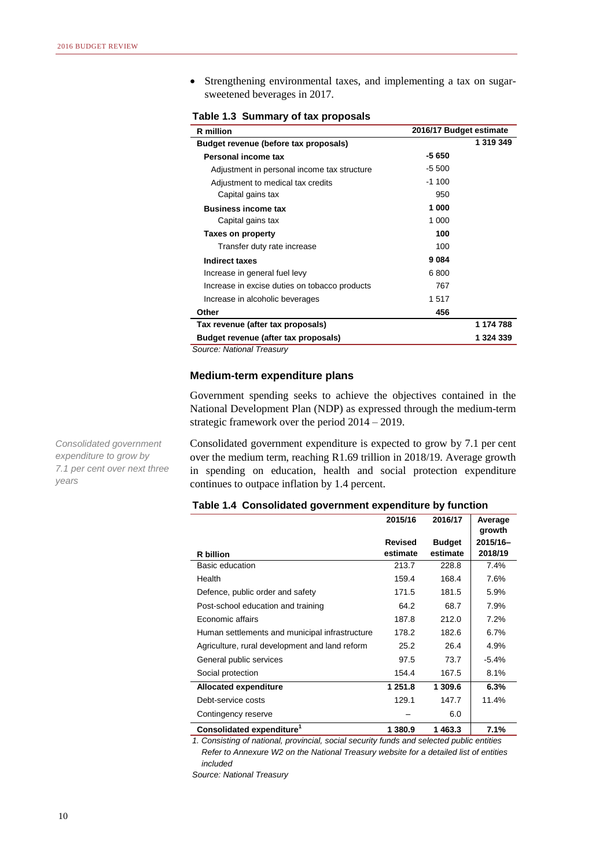Strengthening environmental taxes, and implementing a tax on sugarsweetened beverages in 2017.

| <b>R</b> million                              |         | 2016/17 Budget estimate |  |  |  |
|-----------------------------------------------|---------|-------------------------|--|--|--|
| Budget revenue (before tax proposals)         |         | 1 319 349               |  |  |  |
| Personal income tax                           | $-5650$ |                         |  |  |  |
| Adjustment in personal income tax structure   | $-5500$ |                         |  |  |  |
| Adjustment to medical tax credits             | $-1100$ |                         |  |  |  |
| Capital gains tax                             | 950     |                         |  |  |  |
| <b>Business income tax</b>                    | 1 000   |                         |  |  |  |
| Capital gains tax                             | 1 000   |                         |  |  |  |
| Taxes on property                             | 100     |                         |  |  |  |
| Transfer duty rate increase                   | 100     |                         |  |  |  |
| <b>Indirect taxes</b>                         | 9084    |                         |  |  |  |
| Increase in general fuel levy                 | 6800    |                         |  |  |  |
| Increase in excise duties on tobacco products | 767     |                         |  |  |  |
| Increase in alcoholic beverages               | 1517    |                         |  |  |  |
| Other                                         | 456     |                         |  |  |  |
| Tax revenue (after tax proposals)             |         | 1 174 788               |  |  |  |
| Budget revenue (after tax proposals)          |         | 1 324 339               |  |  |  |

**Table 1.3 Summary of tax proposals**

*Source: National Treasury*

### **Medium-term expenditure plans**

Government spending seeks to achieve the objectives contained in the National Development Plan (NDP) as expressed through the medium-term strategic framework over the period 2014 – 2019.

Consolidated government expenditure is expected to grow by 7.1 per cent over the medium term, reaching R1.69 trillion in 2018/19. Average growth in spending on education, health and social protection expenditure continues to outpace inflation by 1.4 percent.

| Table 1.4 Consolidated government expenditure by function |  |
|-----------------------------------------------------------|--|
|-----------------------------------------------------------|--|

|                                                | 2015/16        | 2016/17       | Average<br>growth |
|------------------------------------------------|----------------|---------------|-------------------|
|                                                | <b>Revised</b> | <b>Budget</b> | 2015/16-          |
| <b>R</b> billion                               | estimate       | estimate      | 2018/19           |
| Basic education                                | 213.7          | 228.8         | 7.4%              |
| Health                                         | 159.4          | 168.4         | 7.6%              |
| Defence, public order and safety               | 171.5          | 181.5         | 5.9%              |
| Post-school education and training             | 64.2           | 68.7          | 7.9%              |
| Economic affairs                               | 187.8          | 212.0         | 7.2%              |
| Human settlements and municipal infrastructure | 178.2          | 182.6         | 6.7%              |
| Agriculture, rural development and land reform | 25.2           | 26.4          | 4.9%              |
| General public services                        | 97.5           | 73.7          | $-5.4%$           |
| Social protection                              | 154.4          | 167.5         | 8.1%              |
| <b>Allocated expenditure</b>                   | 1 251.8        | 1 309.6       | 6.3%              |
| Debt-service costs                             | 129.1          | 147.7         | 11.4%             |
| Contingency reserve                            |                | 6.0           |                   |
| Consolidated expenditure <sup>1</sup>          | 1 380.9        | 1463.3        | 7.1%              |

*1. Consisting of national, provincial, social security funds and selected public entities Refer to Annexure W2 on the National Treasury website for a detailed list of entities included*

*Source: National Treasury*

*Consolidated government expenditure to grow by 7.1 per cent over next three years*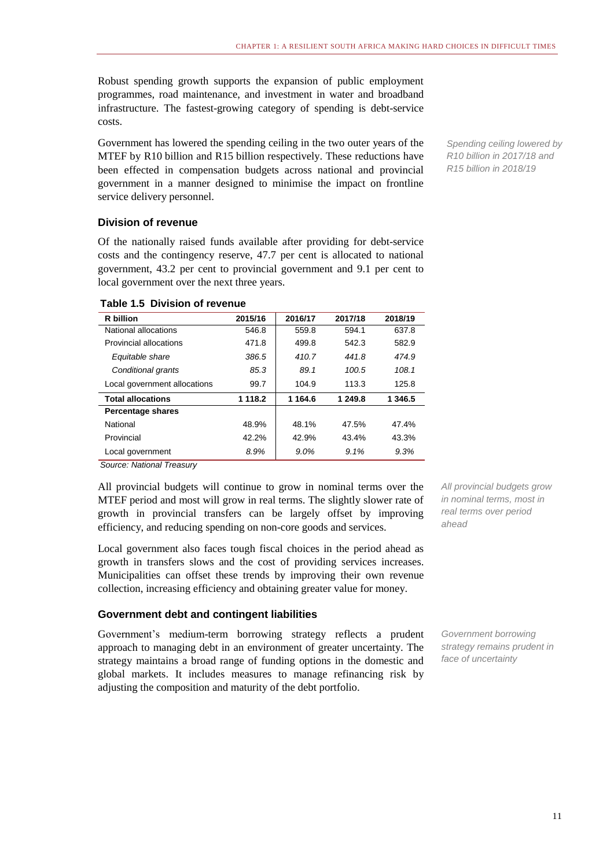Robust spending growth supports the expansion of public employment programmes, road maintenance, and investment in water and broadband infrastructure. The fastest-growing category of spending is debt-service costs.

Government has lowered the spending ceiling in the two outer years of the MTEF by R10 billion and R15 billion respectively. These reductions have been effected in compensation budgets across national and provincial government in a manner designed to minimise the impact on frontline service delivery personnel.

### **Division of revenue**

Of the nationally raised funds available after providing for debt-service costs and the contingency reserve, 47.7 per cent is allocated to national government, 43.2 per cent to provincial government and 9.1 per cent to local government over the next three years.

| R billion                    | 2015/16 | 2016/17  | 2017/18 | 2018/19 |
|------------------------------|---------|----------|---------|---------|
| National allocations         | 546.8   | 559.8    | 594.1   | 637.8   |
| Provincial allocations       | 471.8   | 499.8    | 542.3   | 582.9   |
| Equitable share              | 386.5   | 410.7    | 441.8   | 474.9   |
| Conditional grants           | 85.3    | 89.1     | 100.5   | 108.1   |
| Local government allocations | 99.7    | 104.9    | 113.3   | 125.8   |
| <b>Total allocations</b>     | 1 118.2 | 1 1 64.6 | 1 249.8 | 1 346.5 |
| <b>Percentage shares</b>     |         |          |         |         |
| National                     | 48.9%   | 48.1%    | 47.5%   | 47.4%   |
| Provincial                   | 42.2%   | 42.9%    | 43.4%   | 43.3%   |
| Local government             | 8.9%    | $9.0\%$  | 9.1%    | 9.3%    |
| Course Notional Tropping     |         |          |         |         |

### **Table 1.5 Division of revenue**

*Source: National Treasury*

All provincial budgets will continue to grow in nominal terms over the MTEF period and most will grow in real terms. The slightly slower rate of growth in provincial transfers can be largely offset by improving efficiency, and reducing spending on non-core goods and services.

Local government also faces tough fiscal choices in the period ahead as growth in transfers slows and the cost of providing services increases. Municipalities can offset these trends by improving their own revenue collection, increasing efficiency and obtaining greater value for money.

### **Government debt and contingent liabilities**

Government's medium-term borrowing strategy reflects a prudent approach to managing debt in an environment of greater uncertainty. The strategy maintains a broad range of funding options in the domestic and global markets. It includes measures to manage refinancing risk by adjusting the composition and maturity of the debt portfolio.

*Spending ceiling lowered by R10 billion in 2017/18 and R15 billion in 2018/19*

*All provincial budgets grow in nominal terms, most in real terms over period ahead*

*Government borrowing strategy remains prudent in face of uncertainty*